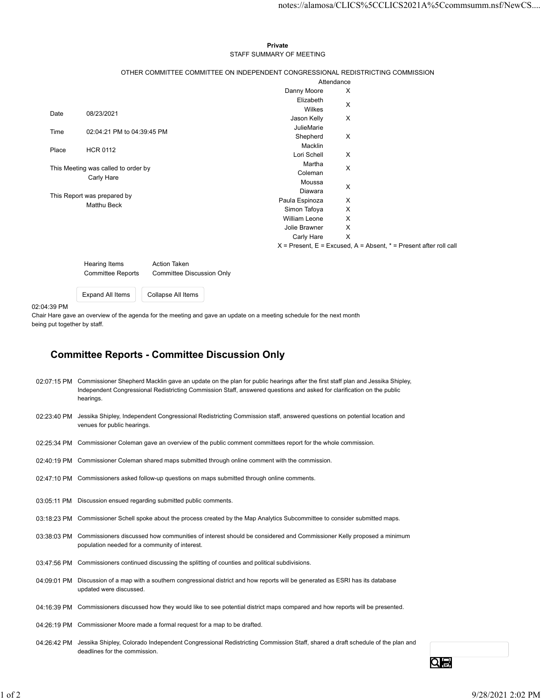## Private STAFF SUMMARY OF MEETING

|                          |                                     |                                                                                                                    |                                     |                           | notes://alamosa/CLICS%5CCLICS2021A%5Ccommsumm.nsf/NewCS               |  |
|--------------------------|-------------------------------------|--------------------------------------------------------------------------------------------------------------------|-------------------------------------|---------------------------|-----------------------------------------------------------------------|--|
|                          |                                     |                                                                                                                    |                                     |                           |                                                                       |  |
|                          |                                     |                                                                                                                    |                                     |                           |                                                                       |  |
|                          |                                     |                                                                                                                    |                                     |                           |                                                                       |  |
|                          |                                     |                                                                                                                    | Private<br>STAFF SUMMARY OF MEETING |                           |                                                                       |  |
|                          |                                     |                                                                                                                    |                                     |                           |                                                                       |  |
|                          |                                     | OTHER COMMITTEE COMMITTEE ON INDEPENDENT CONGRESSIONAL REDISTRICTING COMMISSION                                    |                                     |                           |                                                                       |  |
|                          |                                     |                                                                                                                    |                                     | Attendance                |                                                                       |  |
|                          |                                     |                                                                                                                    | Danny Moore                         | X                         |                                                                       |  |
|                          |                                     |                                                                                                                    | Elizabeth                           | $\boldsymbol{\mathsf{X}}$ |                                                                       |  |
| Date                     | 08/23/2021                          |                                                                                                                    | Wilkes<br>Jason Kelly               | X                         |                                                                       |  |
|                          |                                     |                                                                                                                    | JulieMarie                          |                           |                                                                       |  |
| Time                     | 02:04:21 PM to 04:39:45 PM          |                                                                                                                    | Shepherd                            | $\boldsymbol{\mathsf{X}}$ |                                                                       |  |
| Place                    | <b>HCR 0112</b>                     |                                                                                                                    | Macklin                             |                           |                                                                       |  |
|                          |                                     |                                                                                                                    | Lori Schell                         | X                         |                                                                       |  |
|                          | This Meeting was called to order by |                                                                                                                    | Martha                              | $\boldsymbol{\mathsf{X}}$ |                                                                       |  |
|                          | Carly Hare                          |                                                                                                                    | Coleman<br>Moussa                   |                           |                                                                       |  |
|                          |                                     |                                                                                                                    | Diawara                             | X                         |                                                                       |  |
|                          | This Report was prepared by         |                                                                                                                    | Paula Espinoza                      | X                         |                                                                       |  |
|                          | Matthu Beck                         |                                                                                                                    | Simon Tafoya                        | X                         |                                                                       |  |
|                          |                                     |                                                                                                                    | William Leone                       | X                         |                                                                       |  |
|                          |                                     |                                                                                                                    | Jolie Brawner                       | X                         |                                                                       |  |
|                          |                                     |                                                                                                                    | Carly Hare                          | $\mathsf{X}$              |                                                                       |  |
|                          |                                     |                                                                                                                    |                                     |                           | $X$ = Present, E = Excused, A = Absent, $*$ = Present after roll call |  |
|                          | Hearing Items                       | Action Taken                                                                                                       |                                     |                           |                                                                       |  |
|                          | Committee Reports                   | <b>Committee Discussion Only</b>                                                                                   |                                     |                           |                                                                       |  |
|                          |                                     |                                                                                                                    |                                     |                           |                                                                       |  |
|                          | Expand All Items                    | Collapse All Items                                                                                                 |                                     |                           |                                                                       |  |
| 04:39 PM                 |                                     |                                                                                                                    |                                     |                           |                                                                       |  |
|                          |                                     | ir Hare gave an overview of the agenda for the meeting and gave an update on a meeting schedule for the next month |                                     |                           |                                                                       |  |
| g put together by staff. |                                     |                                                                                                                    |                                     |                           |                                                                       |  |
|                          |                                     |                                                                                                                    |                                     |                           |                                                                       |  |

| <b>Hearing Items</b>     | <b>Action Taken</b>       |  |
|--------------------------|---------------------------|--|
| <b>Committee Reports</b> | Committee Discussion Only |  |
|                          |                           |  |
| <b>Expand All Items</b>  | Collapse All Items        |  |

## 02:04:39 PM

## Committee Reports - Committee Discussion Only

| 02:23:40 PM Jessika Shipley, Independent Congressional Redistricting Commission staff, answered questions on potential location and<br>venues for public hearings.<br>02:25:34 PM Commissioner Coleman gave an overview of the public comment committees report for the whole commission.<br>02:40:19 PM Commissioner Coleman shared maps submitted through online comment with the commission.<br>02:47:10 PM Commissioners asked follow-up questions on maps submitted through online comments.<br>03:05:11 PM Discussion ensued regarding submitted public comments.<br>03:18:23 PM Commissioner Schell spoke about the process created by the Map Analytics Subcommittee to consider submitted maps.<br>03:38:03 PM Commissioners discussed how communities of interest should be considered and Commissioner Kelly proposed a minimum<br>population needed for a community of interest.<br>03:47:56 PM Commissioners continued discussing the splitting of counties and political subdivisions.<br>04:09:01 PM Discussion of a map with a southern congressional district and how reports will be generated as ESRI has its database<br>updated were discussed.<br>04:16:39 PM Commissioners discussed how they would like to see potential district maps compared and how reports will be presented.<br>04:26:19 PM Commissioner Moore made a formal request for a map to be drafted.<br>04:26:42 PM Jessika Shipley, Colorado Independent Congressional Redistricting Commission Staff, shared a draft schedule of the plan and<br>deadlines for the commission.<br>Q⊜ |            | 02:07:15 PM Commissioner Shepherd Macklin gave an update on the plan for public hearings after the first staff plan and Jessika Shipley,<br>Independent Congressional Redistricting Commission Staff, answered questions and asked for clarification on the public<br>hearings. |                   |
|-------------------------------------------------------------------------------------------------------------------------------------------------------------------------------------------------------------------------------------------------------------------------------------------------------------------------------------------------------------------------------------------------------------------------------------------------------------------------------------------------------------------------------------------------------------------------------------------------------------------------------------------------------------------------------------------------------------------------------------------------------------------------------------------------------------------------------------------------------------------------------------------------------------------------------------------------------------------------------------------------------------------------------------------------------------------------------------------------------------------------------------------------------------------------------------------------------------------------------------------------------------------------------------------------------------------------------------------------------------------------------------------------------------------------------------------------------------------------------------------------------------------------------------------------------------------------------|------------|---------------------------------------------------------------------------------------------------------------------------------------------------------------------------------------------------------------------------------------------------------------------------------|-------------------|
|                                                                                                                                                                                                                                                                                                                                                                                                                                                                                                                                                                                                                                                                                                                                                                                                                                                                                                                                                                                                                                                                                                                                                                                                                                                                                                                                                                                                                                                                                                                                                                               |            |                                                                                                                                                                                                                                                                                 |                   |
|                                                                                                                                                                                                                                                                                                                                                                                                                                                                                                                                                                                                                                                                                                                                                                                                                                                                                                                                                                                                                                                                                                                                                                                                                                                                                                                                                                                                                                                                                                                                                                               |            |                                                                                                                                                                                                                                                                                 |                   |
|                                                                                                                                                                                                                                                                                                                                                                                                                                                                                                                                                                                                                                                                                                                                                                                                                                                                                                                                                                                                                                                                                                                                                                                                                                                                                                                                                                                                                                                                                                                                                                               |            |                                                                                                                                                                                                                                                                                 |                   |
|                                                                                                                                                                                                                                                                                                                                                                                                                                                                                                                                                                                                                                                                                                                                                                                                                                                                                                                                                                                                                                                                                                                                                                                                                                                                                                                                                                                                                                                                                                                                                                               |            |                                                                                                                                                                                                                                                                                 |                   |
|                                                                                                                                                                                                                                                                                                                                                                                                                                                                                                                                                                                                                                                                                                                                                                                                                                                                                                                                                                                                                                                                                                                                                                                                                                                                                                                                                                                                                                                                                                                                                                               |            |                                                                                                                                                                                                                                                                                 |                   |
|                                                                                                                                                                                                                                                                                                                                                                                                                                                                                                                                                                                                                                                                                                                                                                                                                                                                                                                                                                                                                                                                                                                                                                                                                                                                                                                                                                                                                                                                                                                                                                               |            |                                                                                                                                                                                                                                                                                 |                   |
|                                                                                                                                                                                                                                                                                                                                                                                                                                                                                                                                                                                                                                                                                                                                                                                                                                                                                                                                                                                                                                                                                                                                                                                                                                                                                                                                                                                                                                                                                                                                                                               |            |                                                                                                                                                                                                                                                                                 |                   |
|                                                                                                                                                                                                                                                                                                                                                                                                                                                                                                                                                                                                                                                                                                                                                                                                                                                                                                                                                                                                                                                                                                                                                                                                                                                                                                                                                                                                                                                                                                                                                                               |            |                                                                                                                                                                                                                                                                                 |                   |
|                                                                                                                                                                                                                                                                                                                                                                                                                                                                                                                                                                                                                                                                                                                                                                                                                                                                                                                                                                                                                                                                                                                                                                                                                                                                                                                                                                                                                                                                                                                                                                               |            |                                                                                                                                                                                                                                                                                 |                   |
|                                                                                                                                                                                                                                                                                                                                                                                                                                                                                                                                                                                                                                                                                                                                                                                                                                                                                                                                                                                                                                                                                                                                                                                                                                                                                                                                                                                                                                                                                                                                                                               |            |                                                                                                                                                                                                                                                                                 |                   |
|                                                                                                                                                                                                                                                                                                                                                                                                                                                                                                                                                                                                                                                                                                                                                                                                                                                                                                                                                                                                                                                                                                                                                                                                                                                                                                                                                                                                                                                                                                                                                                               |            |                                                                                                                                                                                                                                                                                 |                   |
|                                                                                                                                                                                                                                                                                                                                                                                                                                                                                                                                                                                                                                                                                                                                                                                                                                                                                                                                                                                                                                                                                                                                                                                                                                                                                                                                                                                                                                                                                                                                                                               |            |                                                                                                                                                                                                                                                                                 |                   |
|                                                                                                                                                                                                                                                                                                                                                                                                                                                                                                                                                                                                                                                                                                                                                                                                                                                                                                                                                                                                                                                                                                                                                                                                                                                                                                                                                                                                                                                                                                                                                                               |            |                                                                                                                                                                                                                                                                                 |                   |
|                                                                                                                                                                                                                                                                                                                                                                                                                                                                                                                                                                                                                                                                                                                                                                                                                                                                                                                                                                                                                                                                                                                                                                                                                                                                                                                                                                                                                                                                                                                                                                               | $1$ of $2$ |                                                                                                                                                                                                                                                                                 | 9/28/2021 2:02 PM |